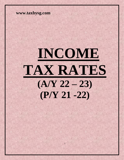# **INCOME TAX RATES**  $(A/Y 22 - 23)$ **(P/Y 21 -22)**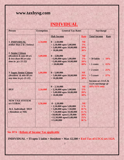#### **INDIVIDUAL**

| <b>Person</b>                                | <b>Exemption</b> | <b>General Tax Rates</b>                     |                  | <b>Surcharge</b>                 |  |
|----------------------------------------------|------------------|----------------------------------------------|------------------|----------------------------------|--|
|                                              |                  | <b>Slab Income</b>                           | Rate             | <b>Total Income</b><br>Rate      |  |
|                                              |                  |                                              | <b>Nil</b>       |                                  |  |
| 1. INDIVIDUAL<br>(Other than $2 \& 3$ below) | 2,50,000         | $0 - 2,50,000$<br>$> 2,50,000$ upto 5,00,000 | 5%               |                                  |  |
|                                              |                  | $> 5,00,000$ upto 10,00,000                  | 20%              |                                  |  |
|                                              |                  | >10,00,000                                   | 30%              |                                  |  |
| 2. Senior Citizen                            |                  |                                              |                  |                                  |  |
| (Resident & min 60 yrs                       | 3,00,000         | $0 - 3,00,000$                               | <b>Nil</b>       |                                  |  |
| & less than 80 yrs any                       |                  | $>3,00,000$ upto 5,00,000                    | 5%               | $> 50$ lakhs<br>$: 10\%$         |  |
| time in $p/y$ 21-22)                         |                  | $>5,00,000$ upto 10,00,000                   | 20%              |                                  |  |
|                                              |                  | >10,00,000                                   | 30%              | $>1$ crore<br>$: 15\%$           |  |
|                                              |                  |                                              |                  |                                  |  |
|                                              |                  |                                              |                  | $: 25\%$<br>$> 2$ crore          |  |
| <b>3. Super Senior Citizen</b>               | 5,00,000         | $0 - 5,00,000$                               | <b>Nil</b>       |                                  |  |
| (Resident & min 80 yrs                       |                  | $> 5,00,000$ upto $10,00,000$                | 20%              | $> 5$ crore<br>$: 37\%$          |  |
| any time in $p/y$ 21-22)                     |                  | >10,00,000                                   | 30%              |                                  |  |
|                                              |                  |                                              |                  | Income $u/s$ 111A &              |  |
|                                              |                  |                                              |                  | 112A surcharge @<br>10%/15% only |  |
| <b>HUF</b>                                   | 2,50,000         | $0 - 2,50,000$<br>$> 2,50,000$ upto 5,00,000 | <b>Nil</b><br>5% |                                  |  |
|                                              |                  | $> 5,00,000$ upto 10,00,000                  | 20%              |                                  |  |
|                                              |                  | >10,00,000                                   | 30%              |                                  |  |
|                                              |                  |                                              |                  |                                  |  |
| <b>NEW TAX SYSTEM</b>                        |                  |                                              |                  |                                  |  |
| $u/s$ 115BAC                                 | 2,50,000         | $0 - 2,50,000$                               | <b>Nil</b>       |                                  |  |
|                                              |                  | $> 2,50,000$ upto 5,00,000                   | $5\%$            |                                  |  |
| <b>ALL Individual / HUF</b>                  |                  | $> 5,00,000$ upto 7,50,000                   | 10 %             |                                  |  |
| (Resident or NR)                             |                  | $> 7,50,000$ upto $10,00,000$                | 15%              |                                  |  |
|                                              |                  | $>10,00,00$ upto12,50,000                    | 20%              |                                  |  |
|                                              |                  | $>12,50,000$ upto 15,00,000                  | 25%              |                                  |  |
|                                              |                  | >15,00,000                                   | 30%              |                                  |  |
|                                              |                  |                                              |                  |                                  |  |
|                                              |                  |                                              |                  |                                  |  |

**Sec 87A : Rebate of Income Tax applicable**

 **INDIVIDUAL + TI upto 5 lakhs + Resident + Max 12,500 + Excl Tax of LTCG u/s 112A**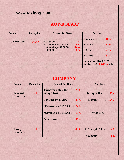### **AOP/BOI/AJP**

| <b>Person</b> | <b>Exemption</b> | <b>General Tax Rates</b>                                  |            | <b>Surcharge</b>                                                                 |                |            |
|---------------|------------------|-----------------------------------------------------------|------------|----------------------------------------------------------------------------------|----------------|------------|
| AOP, BOI, AJP | 2,50,000         | $0 - 2,50,000$                                            | <b>Nil</b> | $> 50$ lakhs :                                                                   |                | 10%        |
|               |                  | $> 2,50,000$ upto 5,00,000<br>$> 5,00,000$ upto 10,00,000 | 5%<br>20%  | $>1$ crore                                                                       | $\ddot{\cdot}$ | 15%        |
|               |                  | >10,00,000                                                | 30%        | $> 2$ crore                                                                      | $\ddot{\cdot}$ | 25%<br>37% |
|               |                  |                                                           |            | $> 5$ crore<br><b>Income u/s 111A &amp; 112A</b><br>surcharge @ $10\%/15\%$ only |                |            |

## **COMPANY**

| <b>Person</b>                     | <b>Exemption</b> | <b>General Tax Rates</b>                     |     | <b>Surcharge</b>                    |  |
|-----------------------------------|------------------|----------------------------------------------|-----|-------------------------------------|--|
| <b>Domestic</b><br><b>Company</b> | <b>Nil</b>       | <b>Turnover upto 400cr</b><br>in $p/y$ 19-20 | 25% | $>1$ cr upto 10 cr :<br>$7\%$       |  |
|                                   |                  | Covered u/s 115BA                            | 25% | $>10$ crore<br>$\therefore$ 12%     |  |
|                                   |                  | <i>*Covered u/s 115BAA</i>                   | 22% |                                     |  |
|                                   |                  | <i>*Covered u/s 115BAB</i>                   | 15% | <b>*flat 10%</b>                    |  |
|                                   |                  | <b>Other case</b>                            | 30% |                                     |  |
| Foreign<br>company                | <b>Nil</b>       |                                              | 40% | > 1cr upto 10 cr : $2\%$            |  |
|                                   |                  |                                              |     | $>10$ crore<br>5%<br>$\ddot{\cdot}$ |  |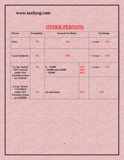## **OTHER PERSONS**

| <b>Person</b>                                                                                    | <b>Exemption</b> | <b>General Tax Rates</b>                          |                   | <b>Surcharge</b>       |  |
|--------------------------------------------------------------------------------------------------|------------------|---------------------------------------------------|-------------------|------------------------|--|
| Firm                                                                                             | <b>Nil</b>       | 30%                                               |                   | $>1$ crore<br>$: 12\%$ |  |
| <b>Local Authority</b>                                                                           | <b>Nil</b>       | 30%                                               |                   | $>1$ crore<br>$: 12\%$ |  |
| <b>Co-Op. Society</b><br><b>NOT</b> covered<br>under New<br><b>Taxation system</b><br>u/s 115BAD | <b>Nil</b>       | $0 - 10,000$<br>$>10,000$ upto 20,000<br>> 20,000 | 10%<br>20%<br>30% | $>1$ crore<br>$: 12\%$ |  |
| <b>Co-op. Society</b><br><b>COVERED</b><br>under New<br><b>Taxation system</b><br>u/s 115BAD     | <b>Nil</b>       | <b>No slab Rates</b>                              | 22%               | 10%                    |  |